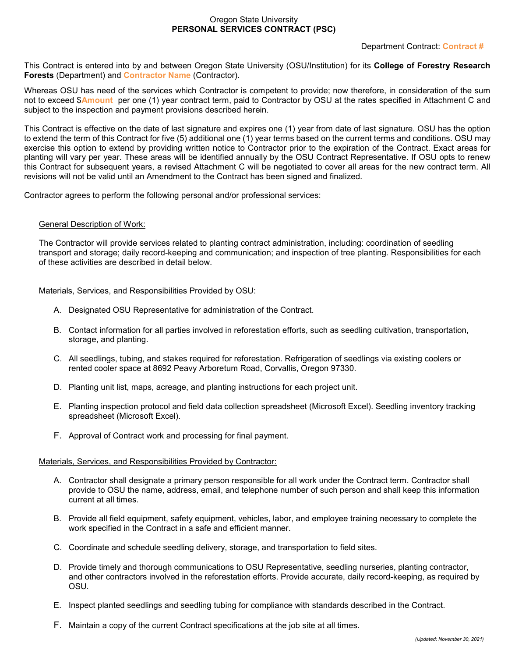# Oregon State University **PERSONAL SERVICES CONTRACT (PSC)**

# Department Contract: **Contract #**

This Contract is entered into by and between Oregon State University (OSU/Institution) for its **College of Forestry Research Forests** (Department) and **Contractor Name** (Contractor).

Whereas OSU has need of the services which Contractor is competent to provide; now therefore, in consideration of the sum not to exceed \$**Amount** per one (1) year contract term, paid to Contractor by OSU at the rates specified in Attachment C and subject to the inspection and payment provisions described herein.

This Contract is effective on the date of last signature and expires one (1) year from date of last signature. OSU has the option to extend the term of this Contract for five (5) additional one (1) year terms based on the current terms and conditions. OSU may exercise this option to extend by providing written notice to Contractor prior to the expiration of the Contract. Exact areas for planting will vary per year. These areas will be identified annually by the OSU Contract Representative. If OSU opts to renew this Contract for subsequent years, a revised Attachment C will be negotiated to cover all areas for the new contract term. All revisions will not be valid until an Amendment to the Contract has been signed and finalized.

Contractor agrees to perform the following personal and/or professional services:

#### General Description of Work:

The Contractor will provide services related to planting contract administration, including: coordination of seedling transport and storage; daily record-keeping and communication; and inspection of tree planting. Responsibilities for each of these activities are described in detail below.

#### Materials, Services, and Responsibilities Provided by OSU:

- A. Designated OSU Representative for administration of the Contract.
- B. Contact information for all parties involved in reforestation efforts, such as seedling cultivation, transportation, storage, and planting.
- C. All seedlings, tubing, and stakes required for reforestation. Refrigeration of seedlings via existing coolers or rented cooler space at 8692 Peavy Arboretum Road, Corvallis, Oregon 97330.
- D. Planting unit list, maps, acreage, and planting instructions for each project unit.
- E. Planting inspection protocol and field data collection spreadsheet (Microsoft Excel). Seedling inventory tracking spreadsheet (Microsoft Excel).
- F. Approval of Contract work and processing for final payment.

#### Materials, Services, and Responsibilities Provided by Contractor:

- A. Contractor shall designate a primary person responsible for all work under the Contract term. Contractor shall provide to OSU the name, address, email, and telephone number of such person and shall keep this information current at all times.
- B. Provide all field equipment, safety equipment, vehicles, labor, and employee training necessary to complete the work specified in the Contract in a safe and efficient manner.
- C. Coordinate and schedule seedling delivery, storage, and transportation to field sites.
- D. Provide timely and thorough communications to OSU Representative, seedling nurseries, planting contractor, and other contractors involved in the reforestation efforts. Provide accurate, daily record-keeping, as required by OSU.
- E. Inspect planted seedlings and seedling tubing for compliance with standards described in the Contract.
- F. Maintain a copy of the current Contract specifications at the job site at all times.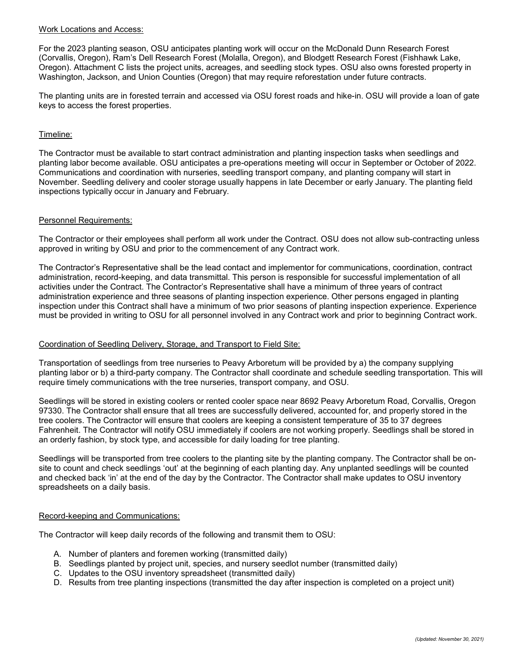#### Work Locations and Access:

For the 2023 planting season, OSU anticipates planting work will occur on the McDonald Dunn Research Forest (Corvallis, Oregon), Ram's Dell Research Forest (Molalla, Oregon), and Blodgett Research Forest (Fishhawk Lake, Oregon). Attachment C lists the project units, acreages, and seedling stock types. OSU also owns forested property in Washington, Jackson, and Union Counties (Oregon) that may require reforestation under future contracts.

The planting units are in forested terrain and accessed via OSU forest roads and hike-in. OSU will provide a loan of gate keys to access the forest properties.

### Timeline:

The Contractor must be available to start contract administration and planting inspection tasks when seedlings and planting labor become available. OSU anticipates a pre-operations meeting will occur in September or October of 2022. Communications and coordination with nurseries, seedling transport company, and planting company will start in November. Seedling delivery and cooler storage usually happens in late December or early January. The planting field inspections typically occur in January and February.

#### Personnel Requirements:

The Contractor or their employees shall perform all work under the Contract. OSU does not allow sub-contracting unless approved in writing by OSU and prior to the commencement of any Contract work.

The Contractor's Representative shall be the lead contact and implementor for communications, coordination, contract administration, record-keeping, and data transmittal. This person is responsible for successful implementation of all activities under the Contract. The Contractor's Representative shall have a minimum of three years of contract administration experience and three seasons of planting inspection experience. Other persons engaged in planting inspection under this Contract shall have a minimum of two prior seasons of planting inspection experience. Experience must be provided in writing to OSU for all personnel involved in any Contract work and prior to beginning Contract work.

#### Coordination of Seedling Delivery, Storage, and Transport to Field Site:

Transportation of seedlings from tree nurseries to Peavy Arboretum will be provided by a) the company supplying planting labor or b) a third-party company. The Contractor shall coordinate and schedule seedling transportation. This will require timely communications with the tree nurseries, transport company, and OSU.

Seedlings will be stored in existing coolers or rented cooler space near 8692 Peavy Arboretum Road, Corvallis, Oregon 97330. The Contractor shall ensure that all trees are successfully delivered, accounted for, and properly stored in the tree coolers. The Contractor will ensure that coolers are keeping a consistent temperature of 35 to 37 degrees Fahrenheit. The Contractor will notify OSU immediately if coolers are not working properly. Seedlings shall be stored in an orderly fashion, by stock type, and accessible for daily loading for tree planting.

Seedlings will be transported from tree coolers to the planting site by the planting company. The Contractor shall be onsite to count and check seedlings 'out' at the beginning of each planting day. Any unplanted seedlings will be counted and checked back 'in' at the end of the day by the Contractor. The Contractor shall make updates to OSU inventory spreadsheets on a daily basis.

#### Record-keeping and Communications:

The Contractor will keep daily records of the following and transmit them to OSU:

- A. Number of planters and foremen working (transmitted daily)
- B. Seedlings planted by project unit, species, and nursery seedlot number (transmitted daily)
- C. Updates to the OSU inventory spreadsheet (transmitted daily)
- D. Results from tree planting inspections (transmitted the day after inspection is completed on a project unit)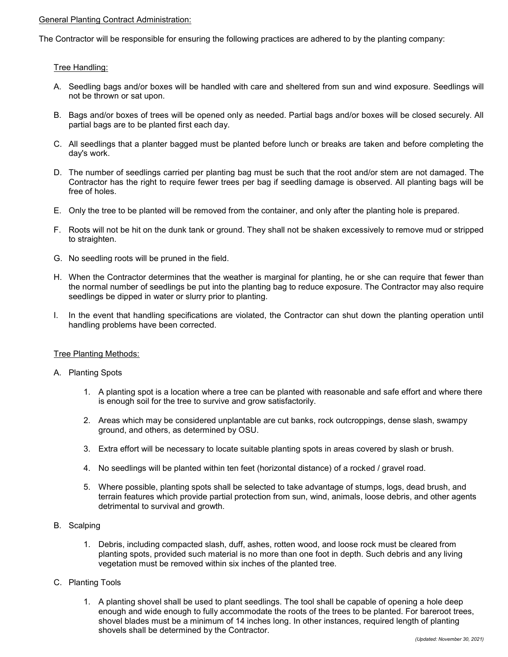### General Planting Contract Administration:

The Contractor will be responsible for ensuring the following practices are adhered to by the planting company:

# Tree Handling:

- A. Seedling bags and/or boxes will be handled with care and sheltered from sun and wind exposure. Seedlings will not be thrown or sat upon.
- B. Bags and/or boxes of trees will be opened only as needed. Partial bags and/or boxes will be closed securely. All partial bags are to be planted first each day.
- C. All seedlings that a planter bagged must be planted before lunch or breaks are taken and before completing the day's work.
- D. The number of seedlings carried per planting bag must be such that the root and/or stem are not damaged. The Contractor has the right to require fewer trees per bag if seedling damage is observed. All planting bags will be free of holes.
- E. Only the tree to be planted will be removed from the container, and only after the planting hole is prepared.
- F. Roots will not be hit on the dunk tank or ground. They shall not be shaken excessively to remove mud or stripped to straighten.
- G. No seedling roots will be pruned in the field.
- H. When the Contractor determines that the weather is marginal for planting, he or she can require that fewer than the normal number of seedlings be put into the planting bag to reduce exposure. The Contractor may also require seedlings be dipped in water or slurry prior to planting.
- I. In the event that handling specifications are violated, the Contractor can shut down the planting operation until handling problems have been corrected.

#### Tree Planting Methods:

- A. Planting Spots
	- 1. A planting spot is a location where a tree can be planted with reasonable and safe effort and where there is enough soil for the tree to survive and grow satisfactorily.
	- 2. Areas which may be considered unplantable are cut banks, rock outcroppings, dense slash, swampy ground, and others, as determined by OSU.
	- 3. Extra effort will be necessary to locate suitable planting spots in areas covered by slash or brush.
	- 4. No seedlings will be planted within ten feet (horizontal distance) of a rocked / gravel road.
	- 5. Where possible, planting spots shall be selected to take advantage of stumps, logs, dead brush, and terrain features which provide partial protection from sun, wind, animals, loose debris, and other agents detrimental to survival and growth.
- B. Scalping
	- 1. Debris, including compacted slash, duff, ashes, rotten wood, and loose rock must be cleared from planting spots, provided such material is no more than one foot in depth. Such debris and any living vegetation must be removed within six inches of the planted tree.
- C. Planting Tools
	- 1. A planting shovel shall be used to plant seedlings. The tool shall be capable of opening a hole deep enough and wide enough to fully accommodate the roots of the trees to be planted. For bareroot trees, shovel blades must be a minimum of 14 inches long. In other instances, required length of planting shovels shall be determined by the Contractor.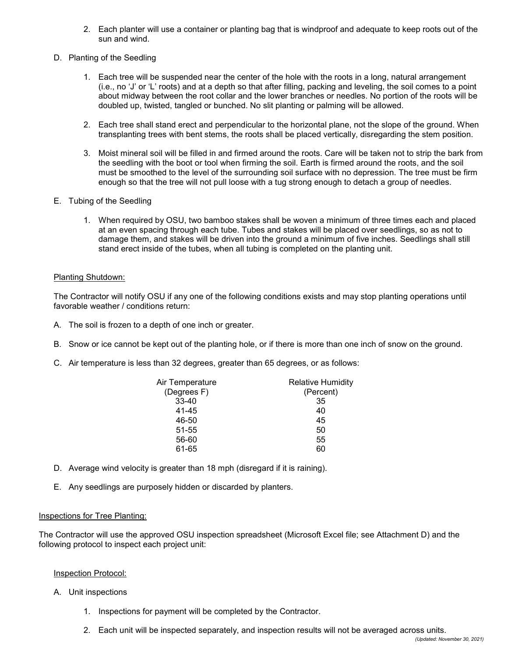- 2. Each planter will use a container or planting bag that is windproof and adequate to keep roots out of the sun and wind.
- D. Planting of the Seedling
	- 1. Each tree will be suspended near the center of the hole with the roots in a long, natural arrangement (i.e., no 'J' or 'L' roots) and at a depth so that after filling, packing and leveling, the soil comes to a point about midway between the root collar and the lower branches or needles. No portion of the roots will be doubled up, twisted, tangled or bunched. No slit planting or palming will be allowed.
	- 2. Each tree shall stand erect and perpendicular to the horizontal plane, not the slope of the ground. When transplanting trees with bent stems, the roots shall be placed vertically, disregarding the stem position.
	- 3. Moist mineral soil will be filled in and firmed around the roots. Care will be taken not to strip the bark from the seedling with the boot or tool when firming the soil. Earth is firmed around the roots, and the soil must be smoothed to the level of the surrounding soil surface with no depression. The tree must be firm enough so that the tree will not pull loose with a tug strong enough to detach a group of needles.
- E. Tubing of the Seedling
	- 1. When required by OSU, two bamboo stakes shall be woven a minimum of three times each and placed at an even spacing through each tube. Tubes and stakes will be placed over seedlings, so as not to damage them, and stakes will be driven into the ground a minimum of five inches. Seedlings shall still stand erect inside of the tubes, when all tubing is completed on the planting unit.

# Planting Shutdown:

The Contractor will notify OSU if any one of the following conditions exists and may stop planting operations until favorable weather / conditions return:

- A. The soil is frozen to a depth of one inch or greater.
- B. Snow or ice cannot be kept out of the planting hole, or if there is more than one inch of snow on the ground.
- C. Air temperature is less than 32 degrees, greater than 65 degrees, or as follows:

| Air Temperature | <b>Relative Humidity</b> |
|-----------------|--------------------------|
| (Degrees F)     | (Percent)                |
| $33 - 40$       | 35                       |
| 41-45           | 40                       |
| 46-50           | 45                       |
| 51-55           | 50                       |
| 56-60           | 55                       |
| 61-65           | 60                       |

- D. Average wind velocity is greater than 18 mph (disregard if it is raining).
- E. Any seedlings are purposely hidden or discarded by planters.

#### Inspections for Tree Planting:

The Contractor will use the approved OSU inspection spreadsheet (Microsoft Excel file; see Attachment D) and the following protocol to inspect each project unit:

#### Inspection Protocol:

- A. Unit inspections
	- 1. Inspections for payment will be completed by the Contractor.
	- 2. Each unit will be inspected separately, and inspection results will not be averaged across units.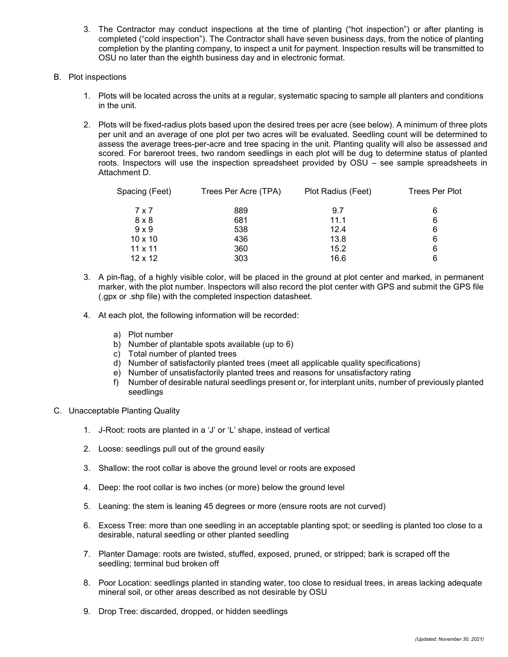- 3. The Contractor may conduct inspections at the time of planting ("hot inspection") or after planting is completed ("cold inspection"). The Contractor shall have seven business days, from the notice of planting completion by the planting company, to inspect a unit for payment. Inspection results will be transmitted to OSU no later than the eighth business day and in electronic format.
- B. Plot inspections
	- 1. Plots will be located across the units at a regular, systematic spacing to sample all planters and conditions in the unit.
	- 2. Plots will be fixed-radius plots based upon the desired trees per acre (see below). A minimum of three plots per unit and an average of one plot per two acres will be evaluated. Seedling count will be determined to assess the average trees-per-acre and tree spacing in the unit. Planting quality will also be assessed and scored. For bareroot trees, two random seedlings in each plot will be dug to determine status of planted roots. Inspectors will use the inspection spreadsheet provided by OSU – see sample spreadsheets in Attachment D.

| Spacing (Feet) | Trees Per Acre (TPA) | Plot Radius (Feet) | <b>Trees Per Plot</b> |  |  |  |  |
|----------------|----------------------|--------------------|-----------------------|--|--|--|--|
| 7 x 7          | 889                  | 9.7                | 6                     |  |  |  |  |
| $8 \times 8$   | 681                  | 11.1               | 6                     |  |  |  |  |
| $9 \times 9$   | 538                  | 12.4               | 6                     |  |  |  |  |
| $10 \times 10$ | 436                  | 13.8               | 6                     |  |  |  |  |
| $11 \times 11$ | 360                  | 15.2               | 6                     |  |  |  |  |
| $12 \times 12$ | 303                  | 16.6               | 6                     |  |  |  |  |

- 3. A pin-flag, of a highly visible color, will be placed in the ground at plot center and marked, in permanent marker, with the plot number. Inspectors will also record the plot center with GPS and submit the GPS file (.gpx or .shp file) with the completed inspection datasheet.
- 4. At each plot, the following information will be recorded:
	- a) Plot number
	- b) Number of plantable spots available (up to 6)
	- c) Total number of planted trees
	- d) Number of satisfactorily planted trees (meet all applicable quality specifications)
	- e) Number of unsatisfactorily planted trees and reasons for unsatisfactory rating
	- f) Number of desirable natural seedlings present or, for interplant units, number of previously planted seedlings
- C. Unacceptable Planting Quality
	- 1. J-Root: roots are planted in a 'J' or 'L' shape, instead of vertical
	- 2. Loose: seedlings pull out of the ground easily
	- 3. Shallow: the root collar is above the ground level or roots are exposed
	- 4. Deep: the root collar is two inches (or more) below the ground level
	- 5. Leaning: the stem is leaning 45 degrees or more (ensure roots are not curved)
	- 6. Excess Tree: more than one seedling in an acceptable planting spot; or seedling is planted too close to a desirable, natural seedling or other planted seedling
	- 7. Planter Damage: roots are twisted, stuffed, exposed, pruned, or stripped; bark is scraped off the seedling; terminal bud broken off
	- 8. Poor Location: seedlings planted in standing water, too close to residual trees, in areas lacking adequate mineral soil, or other areas described as not desirable by OSU
	- 9. Drop Tree: discarded, dropped, or hidden seedlings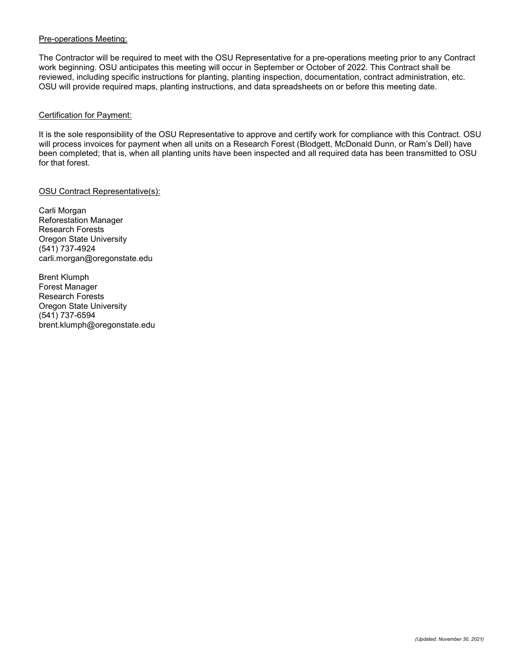### Pre-operations Meeting:

The Contractor will be required to meet with the OSU Representative for a pre-operations meeting prior to any Contract work beginning. OSU anticipates this meeting will occur in September or October of 2022. This Contract shall be reviewed, including specific instructions for planting, planting inspection, documentation, contract administration, etc. OSU will provide required maps, planting instructions, and data spreadsheets on or before this meeting date.

#### Certification for Payment:

It is the sole responsibility of the OSU Representative to approve and certify work for compliance with this Contract. OSU will process invoices for payment when all units on a Research Forest (Blodgett, McDonald Dunn, or Ram's Dell) have been completed; that is, when all planting units have been inspected and all required data has been transmitted to OSU for that forest.

# OSU Contract Representative(s):

Carli Morgan Reforestation Manager Research Forests Oregon State University (541) 737-4924 carli.morgan@oregonstate.edu

Brent Klumph Forest Manager Research Forests Oregon State University (541) 737-6594 brent.klumph@oregonstate.edu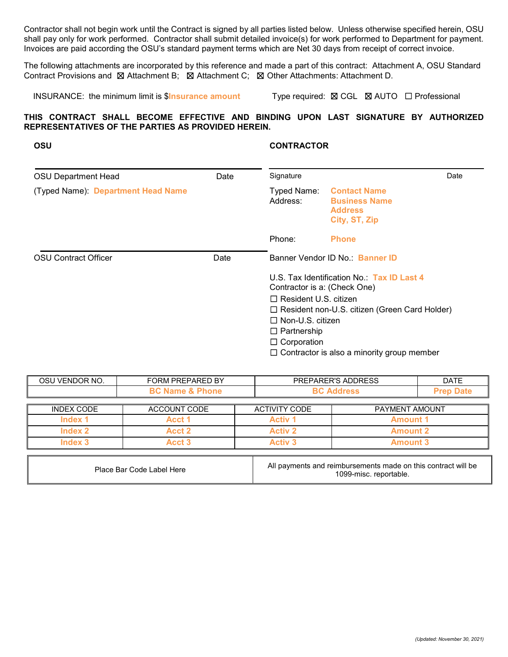Contractor shall not begin work until the Contract is signed by all parties listed below. Unless otherwise specified herein, OSU shall pay only for work performed. Contractor shall submit detailed invoice(s) for work performed to Department for payment. Invoices are paid according the OSU's standard payment terms which are Net 30 days from receipt of correct invoice.

The following attachments are incorporated by this reference and made a part of this contract: Attachment A, OSU Standard Contract Provisions and ☒ Attachment B; ☒ Attachment C; ☒ Other Attachments: Attachment D.

INSURANCE: the minimum limit is \$**Insurance amount** Type required: ☒ CGL ☒ AUTO ☐ Professional

☐ Resident non-U.S. citizen (Green Card Holder)

 $\Box$  Contractor is also a minority group member

☐ Non-U.S. citizen ☐ Partnership ☐ Corporation

# **THIS CONTRACT SHALL BECOME EFFECTIVE AND BINDING UPON LAST SIGNATURE BY AUTHORIZED REPRESENTATIVES OF THE PARTIES AS PROVIDED HEREIN.**

| <b>OSU Department Head</b>         | Signature |                              | Date                                                                           |  |  |  |
|------------------------------------|-----------|------------------------------|--------------------------------------------------------------------------------|--|--|--|
| (Typed Name): Department Head Name |           | Typed Name:<br>Address:      | <b>Contact Name</b><br><b>Business Name</b><br><b>Address</b><br>City, ST, Zip |  |  |  |
|                                    |           | Phone:                       | <b>Phone</b>                                                                   |  |  |  |
| <b>OSU</b> Contract Officer        | Date      |                              | Banner Vendor ID No.: Banner ID                                                |  |  |  |
|                                    |           | Contractor is a: (Check One) | U.S. Tax Identification No.: Tax ID Last 4                                     |  |  |  |
|                                    |           | $\Box$ Resident U.S. citizen |                                                                                |  |  |  |

**OSU CONTRACTOR**

# OSU VENDOR NO. FORM PREPARED BY PREPARER'S ADDRESS FORMED ATE **BC Name & Phone BC Address Prep Date** INDEX CODE ACCOUNT CODE ACTIVITY CODE PAYMENT AMOUNT **Index 1 Acct 1 Activ 1 Amount 1 Index 2 Acct 2 Activ 2 Amount 2 Index 3 Acct 3 Activ 3 Amount 3**

| Place Bar Code Label Here | All payments and reimbursements made on this contract will be<br>1099-misc. reportable. |
|---------------------------|-----------------------------------------------------------------------------------------|
|---------------------------|-----------------------------------------------------------------------------------------|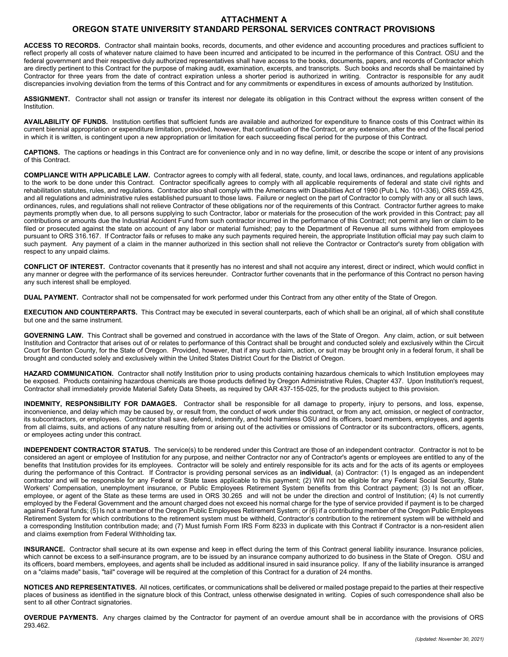# **ATTACHMENT A**

# **OREGON STATE UNIVERSITY STANDARD PERSONAL SERVICES CONTRACT PROVISIONS**

**ACCESS TO RECORDS.** Contractor shall maintain books, records, documents, and other evidence and accounting procedures and practices sufficient to reflect properly all costs of whatever nature claimed to have been incurred and anticipated to be incurred in the performance of this Contract. OSU and the federal government and their respective duly authorized representatives shall have access to the books, documents, papers, and records of Contractor which are directly pertinent to this Contract for the purpose of making audit, examination, excerpts, and transcripts. Such books and records shall be maintained by Contractor for three years from the date of contract expiration unless a shorter period is authorized in writing. Contractor is responsible for any audit discrepancies involving deviation from the terms of this Contract and for any commitments or expenditures in excess of amounts authorized by Institution.

**ASSIGNMENT.** Contractor shall not assign or transfer its interest nor delegate its obligation in this Contract without the express written consent of the **Institution** 

**AVAILABILITY OF FUNDS.** Institution certifies that sufficient funds are available and authorized for expenditure to finance costs of this Contract within its current biennial appropriation or expenditure limitation, provided, however, that continuation of the Contract, or any extension, after the end of the fiscal period in which it is written, is contingent upon a new appropriation or limitation for each succeeding fiscal period for the purpose of this Contract.

**CAPTIONS.** The captions or headings in this Contract are for convenience only and in no way define, limit, or describe the scope or intent of any provisions of this Contract.

**COMPLIANCE WITH APPLICABLE LAW.** Contractor agrees to comply with all federal, state, county, and local laws, ordinances, and regulations applicable to the work to be done under this Contract. Contractor specifically agrees to comply with all applicable requirements of federal and state civil rights and rehabilitation statutes, rules, and regulations. Contractor also shall comply with the Americans with Disabilities Act of 1990 (Pub L No. 101-336), ORS 659.425, and all regulations and administrative rules established pursuant to those laws. Failure or neglect on the part of Contractor to comply with any or all such laws, ordinances, rules, and regulations shall not relieve Contractor of these obligations nor of the requirements of this Contract. Contractor further agrees to make payments promptly when due, to all persons supplying to such Contractor, labor or materials for the prosecution of the work provided in this Contract; pay all contributions or amounts due the Industrial Accident Fund from such contractor incurred in the performance of this Contract; not permit any lien or claim to be filed or prosecuted against the state on account of any labor or material furnished; pay to the Department of Revenue all sums withheld from employees pursuant to ORS 316.167. If Contractor fails or refuses to make any such payments required herein, the appropriate Institution official may pay such claim to such payment. Any payment of a claim in the manner authorized in this section shall not relieve the Contractor or Contractor's surety from obligation with respect to any unpaid claims.

**CONFLICT OF INTEREST.** Contractor covenants that it presently has no interest and shall not acquire any interest, direct or indirect, which would conflict in any manner or degree with the performance of its services hereunder. Contractor further covenants that in the performance of this Contract no person having any such interest shall be employed.

**DUAL PAYMENT.** Contractor shall not be compensated for work performed under this Contract from any other entity of the State of Oregon.

**EXECUTION AND COUNTERPARTS.** This Contract may be executed in several counterparts, each of which shall be an original, all of which shall constitute but one and the same instrument.

GOVERNING LAW. This Contract shall be governed and construed in accordance with the laws of the State of Oregon. Any claim, action, or suit between Institution and Contractor that arises out of or relates to performance of this Contract shall be brought and conducted solely and exclusively within the Circuit Court for Benton County, for the State of Oregon. Provided, however, that if any such claim, action, or suit may be brought only in a federal forum, it shall be brought and conducted solely and exclusively within the United States District Court for the District of Oregon.

HAZARD COMMUNICATION. Contractor shall notify Institution prior to using products containing hazardous chemicals to which Institution employees may be exposed. Products containing hazardous chemicals are those products defined by Oregon Administrative Rules, Chapter 437. Upon Institution's request, Contractor shall immediately provide Material Safety Data Sheets, as required by OAR 437-155-025, for the products subject to this provision.

**INDEMNITY, RESPONSIBILITY FOR DAMAGES.** Contractor shall be responsible for all damage to property, injury to persons, and loss, expense, inconvenience, and delay which may be caused by, or result from, the conduct of work under this contract, or from any act, omission, or neglect of contractor, its subcontractors, or employees. Contractor shall save, defend, indemnify, and hold harmless OSU and its officers, board members, employees, and agents from all claims, suits, and actions of any nature resulting from or arising out of the activities or omissions of Contractor or its subcontractors, officers, agents, or employees acting under this contract.

**INDEPENDENT CONTRACTOR STATUS.** The service(s) to be rendered under this Contract are those of an independent contractor. Contractor is not to be considered an agent or employee of Institution for any purpose, and neither Contractor nor any of Contractor's agents or employees are entitled to any of the benefits that Institution provides for its employees. Contractor will be solely and entirely responsible for its acts and for the acts of its agents or employees during the performance of this Contract. If Contractor is providing personal services as an **individual**, (a) Contractor: (1) Is engaged as an independent contractor and will be responsible for any Federal or State taxes applicable to this payment; (2) Will not be eligible for any Federal Social Security, State Workers' Compensation, unemployment insurance, or Public Employees Retirement System benefits from this Contract payment; (3) Is not an officer, employee, or agent of the State as these terms are used in ORS 30.265 and will not be under the direction and control of Institution; (4) Is not currently employed by the Federal Government and the amount charged does not exceed his normal charge for the type of service provided if payment is to be charged against Federal funds; (5) Is not a member of the Oregon Public Employees Retirement System; or (6) if a contributing member of the Oregon Public Employees Retirement System for which contributions to the retirement system must be withheld, Contractor's contribution to the retirement system will be withheld and a corresponding Institution contribution made; and (7) Must furnish Form IRS Form 8233 in duplicate with this Contract if Contractor is a non-resident alien and claims exemption from Federal Withholding tax.

**INSURANCE.** Contractor shall secure at its own expense and keep in effect during the term of this Contract general liability insurance. Insurance policies, which cannot be excess to a self-insurance program, are to be issued by an insurance company authorized to do business in the State of Oregon. OSU and its officers, board members, employees, and agents shall be included as additional insured in said insurance policy. If any of the liability insurance is arranged on a "claims made" basis, "tail" coverage will be required at the completion of this Contract for a duration of 24 months.

**NOTICES AND REPRESENTATIVES.** All notices, certificates, or communications shall be delivered or mailed postage prepaid to the parties at their respective places of business as identified in the signature block of this Contract, unless otherwise designated in writing. Copies of such correspondence shall also be sent to all other Contract signatories.

**OVERDUE PAYMENTS.** Any charges claimed by the Contractor for payment of an overdue amount shall be in accordance with the provisions of ORS 293.462.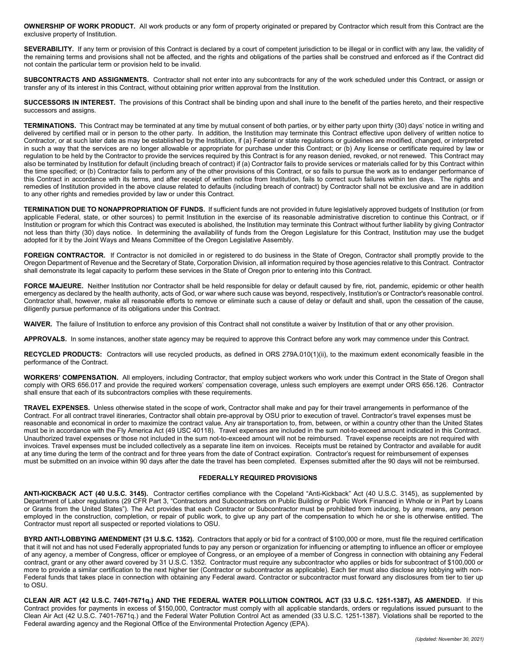**OWNERSHIP OF WORK PRODUCT.** All work products or any form of property originated or prepared by Contractor which result from this Contract are the exclusive property of Institution.

SEVERABILITY. If any term or provision of this Contract is declared by a court of competent jurisdiction to be illegal or in conflict with any law, the validity of the remaining terms and provisions shall not be affected, and the rights and obligations of the parties shall be construed and enforced as if the Contract did not contain the particular term or provision held to be invalid.

**SUBCONTRACTS AND ASSIGNMENTS.** Contractor shall not enter into any subcontracts for any of the work scheduled under this Contract, or assign or transfer any of its interest in this Contract, without obtaining prior written approval from the Institution.

**SUCCESSORS IN INTEREST.** The provisions of this Contract shall be binding upon and shall inure to the benefit of the parties hereto, and their respective successors and assigns.

**TERMINATIONS.** This Contract may be terminated at any time by mutual consent of both parties, or by either party upon thirty (30) days' notice in writing and delivered by certified mail or in person to the other party. In addition, the Institution may terminate this Contract effective upon delivery of written notice to Contractor, or at such later date as may be established by the Institution, if (a) Federal or state regulations or guidelines are modified, changed, or interpreted in such a way that the services are no longer allowable or appropriate for purchase under this Contract; or (b) Any license or certificate required by law or regulation to be held by the Contractor to provide the services required by this Contract is for any reason denied, revoked, or not renewed. This Contract may also be terminated by Institution for default (including breach of contract) if (a) Contractor fails to provide services or materials called for by this Contract within the time specified; or (b) Contractor fails to perform any of the other provisions of this Contract, or so fails to pursue the work as to endanger performance of this Contract in accordance with its terms, and after receipt of written notice from Institution, fails to correct such failures within ten days. The rights and remedies of Institution provided in the above clause related to defaults (including breach of contract) by Contractor shall not be exclusive and are in addition to any other rights and remedies provided by law or under this Contract.

**TERMINATION DUE TO NONAPPROPRIATION OF FUNDS.** If sufficient funds are not provided in future legislatively approved budgets of Institution (or from applicable Federal, state, or other sources) to permit Institution in the exercise of its reasonable administrative discretion to continue this Contract, or if Institution or program for which this Contract was executed is abolished, the Institution may terminate this Contract without further liability by giving Contractor not less than thirty (30) days notice. In determining the availability of funds from the Oregon Legislature for this Contract, Institution may use the budget adopted for it by the Joint Ways and Means Committee of the Oregon Legislative Assembly.

FOREIGN CONTRACTOR. If Contractor is not domiciled in or registered to do business in the State of Oregon, Contractor shall promptly provide to the Oregon Department of Revenue and the Secretary of State, Corporation Division, all information required by those agencies relative to this Contract. Contractor shall demonstrate its legal capacity to perform these services in the State of Oregon prior to entering into this Contract.

FORCE MAJEURE. Neither Institution nor Contractor shall be held responsible for delay or default caused by fire, riot, pandemic, epidemic or other health emergency as declared by the health authority, acts of God, or war where such cause was beyond, respectively, Institution's or Contractor's reasonable control. Contractor shall, however, make all reasonable efforts to remove or eliminate such a cause of delay or default and shall, upon the cessation of the cause, diligently pursue performance of its obligations under this Contract.

**WAIVER.** The failure of Institution to enforce any provision of this Contract shall not constitute a waiver by Institution of that or any other provision.

**APPROVALS.** In some instances, another state agency may be required to approve this Contract before any work may commence under this Contract.

RECYCLED PRODUCTS: Contractors will use recycled products, as defined in ORS 279A.010(1)(ii), to the maximum extent economically feasible in the performance of the Contract.

**WORKERS' COMPENSATION.** All employers, including Contractor, that employ subject workers who work under this Contract in the State of Oregon shall comply with ORS 656.017 and provide the required workers' compensation coverage, unless such employers are exempt under ORS 656.126. Contractor shall ensure that each of its subcontractors complies with these requirements.

**TRAVEL EXPENSES.** Unless otherwise stated in the scope of work, Contractor shall make and pay for their travel arrangements in performance of the Contract. For all contract travel itineraries, Contractor shall obtain pre-approval by OSU prior to execution of travel. Contractor's travel expenses must be reasonable and economical in order to maximize the contract value. Any air transportation to, from, between, or within a country other than the United States must be in accordance with the Fly America Act (49 USC 40118).Travel expenses are included in the sum not-to-exceed amount indicated in this Contract. Unauthorized travel expenses or those not included in the sum not-to-exceed amount will not be reimbursed. Travel expense receipts are not required with invoices. Travel expenses must be included collectively as a separate line item on invoices. Receipts must be retained by Contractor and available for audit at any time during the term of the contract and for three years from the date of Contract expiration.Contractor's request for reimbursement of expenses must be submitted on an invoice within 90 days after the date the travel has been completed. Expenses submitted after the 90 days will not be reimbursed.

#### **FEDERALLY REQUIRED PROVISIONS**

**ANTI-KICKBACK ACT (40 U.S.C. 3145).** Contractor certifies compliance with the Copeland "Anti-Kickback" Act (40 U.S.C. 3145), as supplemented by Department of Labor regulations (29 CFR Part 3, "Contractors and Subcontractors on Public Building or Public Work Financed in Whole or in Part by Loans or Grants from the United States"). The Act provides that each Contractor or Subcontractor must be prohibited from inducing, by any means, any person employed in the construction, completion, or repair of public work, to give up any part of the compensation to which he or she is otherwise entitled. The Contractor must report all suspected or reported violations to OSU.

**BYRD ANTI-LOBBYING AMENDMENT (31 U.S.C. 1352).** Contractors that apply or bid for a contract of \$100,000 or more, must file the required certification that it will not and has not used Federally appropriated funds to pay any person or organization for influencing or attempting to influence an officer or employee of any agency, a member of Congress, officer or employee of Congress, or an employee of a member of Congress in connection with obtaining any Federal contract, grant or any other award covered by 31 U.S.C. 1352. Contractor must require any subcontractor who applies or bids for subcontract of \$100,000 or more to provide a similar certification to the next higher tier (Contractor or subcontractor as applicable). Each tier must also disclose any lobbying with non-Federal funds that takes place in connection with obtaining any Federal award. Contractor or subcontractor must forward any disclosures from tier to tier up to OSU.

**CLEAN AIR ACT (42 U.S.C. 7401-7671q.) AND THE FEDERAL WATER POLLUTION CONTROL ACT (33 U.S.C. 1251-1387), AS AMENDED.** If this Contract provides for payments in excess of \$150,000, Contractor must comply with all applicable standards, orders or regulations issued pursuant to the Clean Air Act (42 U.S.C. 7401-7671q.) and the Federal Water Pollution Control Act as amended (33 U.S.C. 1251-1387). Violations shall be reported to the Federal awarding agency and the Regional Office of the Environmental Protection Agency (EPA).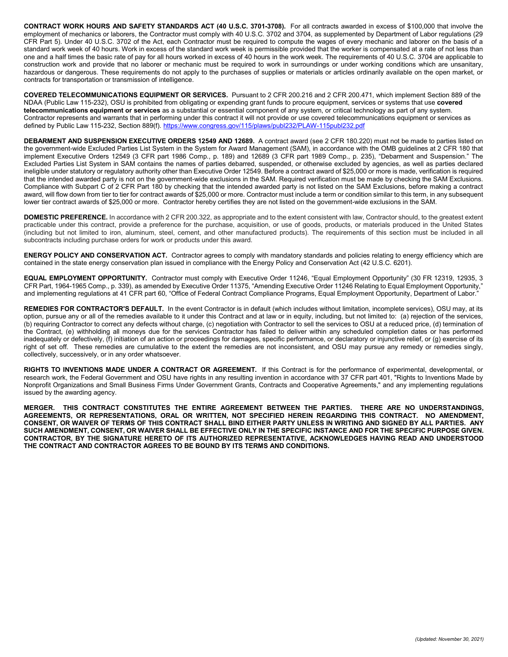**CONTRACT WORK HOURS AND SAFETY STANDARDS ACT (40 U.S.C. 3701-3708).** For all contracts awarded in excess of \$100,000 that involve the employment of mechanics or laborers, the Contractor must comply with 40 U.S.C. 3702 and 3704, as supplemented by Department of Labor regulations (29 CFR Part 5). Under 40 U.S.C. 3702 of the Act, each Contractor must be required to compute the wages of every mechanic and laborer on the basis of a standard work week of 40 hours. Work in excess of the standard work week is permissible provided that the worker is compensated at a rate of not less than one and a half times the basic rate of pay for all hours worked in excess of 40 hours in the work week. The requirements of 40 U.S.C. 3704 are applicable to construction work and provide that no laborer or mechanic must be required to work in surroundings or under working conditions which are unsanitary, hazardous or dangerous. These requirements do not apply to the purchases of supplies or materials or articles ordinarily available on the open market, or contracts for transportation or transmission of intelligence.

**COVERED TELECOMMUNICATIONS EQUIPMENT OR SERVICES.** Pursuant to 2 CFR 200.216 and 2 CFR 200.471, which implement Section 889 of the NDAA (Public Law 115-232), OSU is prohibited from obligating or expending grant funds to procure equipment, services or systems that use **covered telecommunications equipment or services** as a substantial or essential component of any system, or critical technology as part of any system. Contractor represents and warrants that in performing under this contract it will not provide or use covered telecommunications equipment or services as defined by Public Law 115-232, Section 889(f). [https://www.congress.gov/115/plaws/publ232/PLAW-115publ232.pdf](https://nam04.safelinks.protection.outlook.com/?url=https%3A%2F%2Fwww.congress.gov%2F115%2Fplaws%2Fpubl232%2FPLAW-115publ232.pdf&data=04%7C01%7C%7C3bb2a40d16824e8bc71708d929e4c81c%7Cce6d05e13c5e4d6287a84c4a2713c113%7C0%7C0%7C637586884842664954%7CUnknown%7CTWFpbGZsb3d8eyJWIjoiMC4wLjAwMDAiLCJQIjoiV2luMzIiLCJBTiI6Ik1haWwiLCJXVCI6Mn0%3D%7C1000&sdata=yT34K2dy2LHqCJyu%2Fmh6aJXeFGgsIqBzo61Pv302oDM%3D&reserved=0)

**DEBARMENT AND SUSPENSION EXECUTIVE ORDERS 12549 AND 12689.** A contract award (see 2 CFR 180.220) must not be made to parties listed on the government-wide Excluded Parties List System in the System for Award Management (SAM), in accordance with the OMB guidelines at 2 CFR 180 that implement Executive Orders 12549 (3 CFR part 1986 Comp., p. 189) and 12689 (3 CFR part 1989 Comp., p. 235), "Debarment and Suspension." The Excluded Parties List System in SAM contains the names of parties debarred, suspended, or otherwise excluded by agencies, as well as parties declared ineligible under statutory or regulatory authority other than Executive Order 12549. Before a contract award of \$25,000 or more is made, verification is required that the intended awarded party is not on the government-wide exclusions in the SAM. Required verification must be made by checking the SAM Exclusions. Compliance with Subpart C of 2 CFR Part 180 by checking that the intended awarded party is not listed on the SAM Exclusions, before making a contract award, will flow down from tier to tier for contract awards of \$25,000 or more. Contractor must include a term or condition similar to this term, in any subsequent lower tier contract awards of \$25,000 or more. Contractor hereby certifies they are not listed on the government-wide exclusions in the SAM.

**DOMESTIC PREFERENCE.** In accordance with 2 CFR 200.322, as appropriate and to the extent consistent with law, Contractor should, to the greatest extent practicable under this contract, provide a preference for the purchase, acquisition, or use of goods, products, or materials produced in the United States (including but not limited to iron, aluminum, steel, cement, and other manufactured products). The requirements of this section must be included in all subcontracts including purchase orders for work or products under this award.

**ENERGY POLICY AND CONSERVATION ACT.** Contractor agrees to comply with mandatory standards and policies relating to energy efficiency which are contained in the state energy conservation plan issued in compliance with the Energy Policy and Conservation Act (42 U.S.C. 6201).

**EQUAL EMPLOYMENT OPPORTUNITY.** Contractor must comply with Executive Order 11246, "Equal Employment Opportunity" (30 FR 12319, 12935, 3 CFR Part, 1964-1965 Comp., p. 339), as amended by Executive Order 11375, "Amending Executive Order 11246 Relating to Equal Employment Opportunity," and implementing regulations at 41 CFR part 60, "Office of Federal Contract Compliance Programs, Equal Employment Opportunity, Department of Labor."

**REMEDIES FOR CONTRACTOR'S DEFAULT.** In the event Contractor is in default (which includes without limitation, incomplete services), OSU may, at its option, pursue any or all of the remedies available to it under this Contract and at law or in equity, including, but not limited to: (a) rejection of the services, (b) requiring Contractor to correct any defects without charge, (c) negotiation with Contractor to sell the services to OSU at a reduced price, (d) termination of the Contract, (e) withholding all moneys due for the services Contractor has failed to deliver within any scheduled completion dates or has performed inadequately or defectively, (f) initiation of an action or proceedings for damages, specific performance, or declaratory or injunctive relief, or (g) exercise of its right of set off. These remedies are cumulative to the extent the remedies are not inconsistent, and OSU may pursue any remedy or remedies singly, collectively, successively, or in any order whatsoever.

**RIGHTS TO INVENTIONS MADE UNDER A CONTRACT OR AGREEMENT.** If this Contract is for the performance of experimental, developmental, or research work, the Federal Government and OSU have rights in any resulting invention in accordance with 37 CFR part 401, "Rights to Inventions Made by Nonprofit Organizations and Small Business Firms Under Government Grants, Contracts and Cooperative Agreements," and any implementing regulations issued by the awarding agency.

**MERGER. THIS CONTRACT CONSTITUTES THE ENTIRE AGREEMENT BETWEEN THE PARTIES. THERE ARE NO UNDERSTANDINGS, AGREEMENTS, OR REPRESENTATIONS, ORAL OR WRITTEN, NOT SPECIFIED HEREIN REGARDING THIS CONTRACT. NO AMENDMENT, CONSENT, OR WAIVER OF TERMS OF THIS CONTRACT SHALL BIND EITHER PARTY UNLESS IN WRITING AND SIGNED BY ALL PARTIES. ANY SUCH AMENDMENT, CONSENT, OR WAIVER SHALL BE EFFECTIVE ONLY IN THE SPECIFIC INSTANCE AND FOR THE SPECIFIC PURPOSE GIVEN. CONTRACTOR, BY THE SIGNATURE HERETO OF ITS AUTHORIZED REPRESENTATIVE, ACKNOWLEDGES HAVING READ AND UNDERSTOOD THE CONTRACT AND CONTRACTOR AGREES TO BE BOUND BY ITS TERMS AND CONDITIONS.**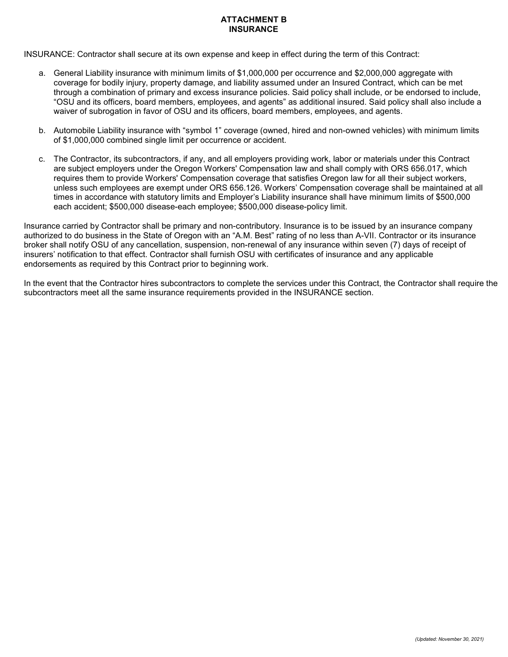# **ATTACHMENT B INSURANCE**

INSURANCE: Contractor shall secure at its own expense and keep in effect during the term of this Contract:

- a. General Liability insurance with minimum limits of \$1,000,000 per occurrence and \$2,000,000 aggregate with coverage for bodily injury, property damage, and liability assumed under an Insured Contract, which can be met through a combination of primary and excess insurance policies. Said policy shall include, or be endorsed to include, "OSU and its officers, board members, employees, and agents" as additional insured. Said policy shall also include a waiver of subrogation in favor of OSU and its officers, board members, employees, and agents.
- b. Automobile Liability insurance with "symbol 1" coverage (owned, hired and non-owned vehicles) with minimum limits of \$1,000,000 combined single limit per occurrence or accident.
- c. The Contractor, its subcontractors, if any, and all employers providing work, labor or materials under this Contract are subject employers under the Oregon Workers' Compensation law and shall comply with ORS 656.017, which requires them to provide Workers' Compensation coverage that satisfies Oregon law for all their subject workers, unless such employees are exempt under ORS 656.126. Workers' Compensation coverage shall be maintained at all times in accordance with statutory limits and Employer's Liability insurance shall have minimum limits of \$500,000 each accident; \$500,000 disease-each employee; \$500,000 disease-policy limit.

Insurance carried by Contractor shall be primary and non-contributory. Insurance is to be issued by an insurance company authorized to do business in the State of Oregon with an "A.M. Best" rating of no less than A-VII. Contractor or its insurance broker shall notify OSU of any cancellation, suspension, non-renewal of any insurance within seven (7) days of receipt of insurers' notification to that effect. Contractor shall furnish OSU with certificates of insurance and any applicable endorsements as required by this Contract prior to beginning work.

In the event that the Contractor hires subcontractors to complete the services under this Contract, the Contractor shall require the subcontractors meet all the same insurance requirements provided in the INSURANCE section.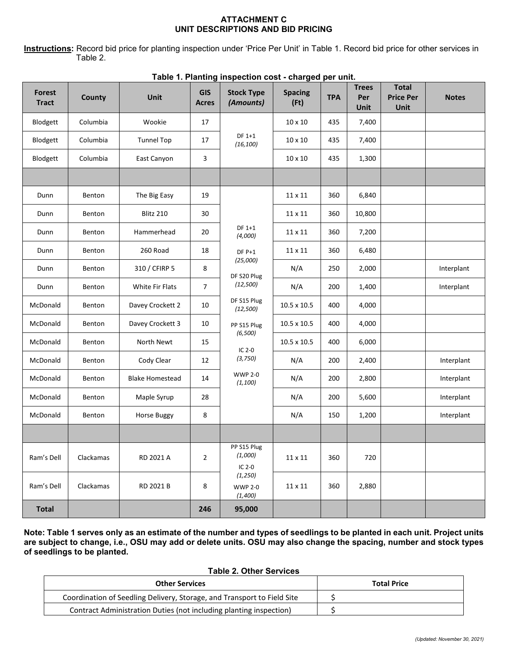# **ATTACHMENT C UNIT DESCRIPTIONS AND BID PRICING**

**Instructions:** Record bid price for planting inspection under 'Price Per Unit' in Table 1. Record bid price for other services in Table 2.

| <b>Forest</b><br><b>Tract</b> | <b>County</b> | Unit                   | <b>GIS</b><br><b>Acres</b> | .<br><b>Stock Type</b><br>(Amounts)   | <b>Spacing</b><br>(Ft) | <b>TPA</b> | <b>Trees</b><br>Per<br>Unit | <b>Total</b><br><b>Price Per</b><br>Unit | <b>Notes</b> |
|-------------------------------|---------------|------------------------|----------------------------|---------------------------------------|------------------------|------------|-----------------------------|------------------------------------------|--------------|
| Blodgett                      | Columbia      | Wookie                 | 17                         |                                       | 10 x 10                | 435        | 7,400                       |                                          |              |
| Blodgett                      | Columbia      | <b>Tunnel Top</b>      | 17                         | DF 1+1<br>(16, 100)                   | 10 x 10                | 435        | 7,400                       |                                          |              |
| Blodgett                      | Columbia      | East Canyon            | 3                          |                                       | 10 x 10                | 435        | 1,300                       |                                          |              |
|                               |               |                        |                            |                                       |                        |            |                             |                                          |              |
| Dunn                          | Benton        | The Big Easy           | 19                         |                                       | 11 x 11                | 360        | 6,840                       |                                          |              |
| Dunn                          | Benton        | Blitz 210              | $30\,$                     |                                       | 11 x 11                | 360        | 10,800                      |                                          |              |
| Dunn                          | Benton        | Hammerhead             | 20                         | DF 1+1<br>(4,000)                     | 11 x 11                | 360        | 7,200                       |                                          |              |
| Dunn                          | Benton        | 260 Road               | 18                         | $DF P+1$                              | 11 x 11                | 360        | 6,480                       |                                          |              |
| Dunn                          | Benton        | 310 / CFIRP 5          | 8                          | (25,000)<br>DF S20 Plug               | N/A                    | 250        | 2,000                       |                                          | Interplant   |
| Dunn                          | Benton        | White Fir Flats        | $\overline{7}$             | (12, 500)                             | N/A                    | 200        | 1,400                       |                                          | Interplant   |
| McDonald                      | Benton        | Davey Crockett 2       | 10                         | DF S15 Plug<br>(12, 500)              | 10.5 x 10.5            | 400        | 4,000                       |                                          |              |
| McDonald                      | Benton        | Davey Crockett 3       | $10\,$                     | PP S15 Plug                           | 10.5 x 10.5            | 400        | 4,000                       |                                          |              |
| McDonald                      | Benton        | North Newt             | 15                         | (6,500)<br>IC $2-0$                   | 10.5 x 10.5            | 400        | 6,000                       |                                          |              |
| McDonald                      | Benton        | Cody Clear             | 12                         | (3, 750)                              | N/A                    | 200        | 2,400                       |                                          | Interplant   |
| McDonald                      | Benton        | <b>Blake Homestead</b> | 14                         | <b>WWP 2-0</b><br>(1, 100)            | N/A                    | 200        | 2,800                       |                                          | Interplant   |
| McDonald                      | Benton        | Maple Syrup            | 28                         |                                       | N/A                    | 200        | 5,600                       |                                          | Interplant   |
| McDonald                      | Benton        | Horse Buggy            | 8                          |                                       | N/A                    | 150        | 1,200                       |                                          | Interplant   |
|                               |               |                        |                            |                                       |                        |            |                             |                                          |              |
| Ram's Dell                    | Clackamas     | RD 2021 A              | $\mathbf 2$                | PP S15 Plug<br>(1,000)<br>IC $2-0$    | $11\times11$           | 360        | 720                         |                                          |              |
| Ram's Dell                    | Clackamas     | RD 2021 B              | 8                          | (1, 250)<br><b>WWP 2-0</b><br>(1,400) | $11\times11$           | 360        | 2,880                       |                                          |              |
| <b>Total</b>                  |               |                        | 246                        | 95,000                                |                        |            |                             |                                          |              |

#### **Table 1. Planting inspection cost - charged per unit.**

**Note: Table 1 serves only as an estimate of the number and types of seedlings to be planted in each unit. Project units are subject to change, i.e., OSU may add or delete units. OSU may also change the spacing, number and stock types of seedlings to be planted.**

# **Table 2. Other Services**

| <b>Other Services</b>                                                   | <b>Total Price</b> |
|-------------------------------------------------------------------------|--------------------|
| Coordination of Seedling Delivery, Storage, and Transport to Field Site |                    |
| Contract Administration Duties (not including planting inspection)      |                    |